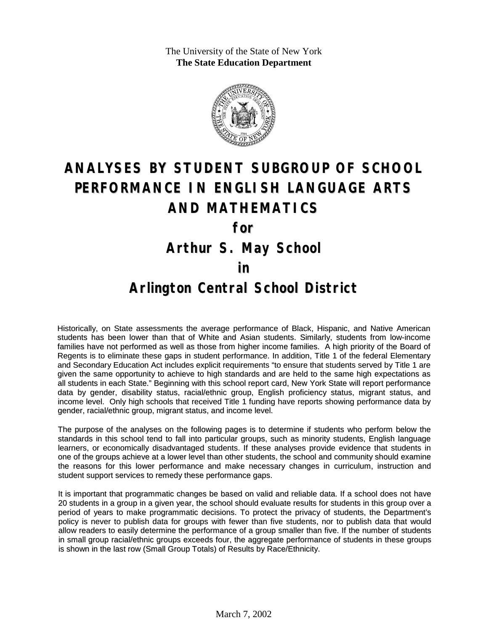The University of the State of New York **The State Education Department**



# **ANALYSES BY STUDENT SUBGROUP OF SCHOOL PERFORMANCE IN ENGLISH LANGUAGE ARTS AND MATHEMATICS**

**for**

**Arthur S. May School**

#### **in**

### **Arlington Central School District**

Historically, on State assessments the average performance of Black, Hispanic, and Native American students has been lower than that of White and Asian students. Similarly, students from low-income families have not performed as well as those from higher income families. A high priority of the Board of Regents is to eliminate these gaps in student performance. In addition, Title 1 of the federal Elementary and Secondary Education Act includes explicit requirements "to ensure that students served by Title 1 are given the same opportunity to achieve to high standards and are held to the same high expectations as all students in each State." Beginning with this school report card, New York State will report performance data by gender, disability status, racial/ethnic group, English proficiency status, migrant status, and income level. Only high schools that received Title 1 funding have reports showing performance data by gender, racial/ethnic group, migrant status, and income level.

The purpose of the analyses on the following pages is to determine if students who perform below the standards in this school tend to fall into particular groups, such as minority students, English language learners, or economically disadvantaged students. If these analyses provide evidence that students in one of the groups achieve at a lower level than other students, the school and community should examine the reasons for this lower performance and make necessary changes in curriculum, instruction and student support services to remedy these performance gaps.

It is important that programmatic changes be based on valid and reliable data. If a school does not have 20 students in a group in a given year, the school should evaluate results for students in this group over a period of years to make programmatic decisions. To protect the privacy of students, the Department's policy is never to publish data for groups with fewer than five students, nor to publish data that would allow readers to easily determine the performance of a group smaller than five. If the number of students in small group racial/ethnic groups exceeds four, the aggregate performance of students in these groups is shown in the last row (Small Group Totals) of Results by Race/Ethnicity.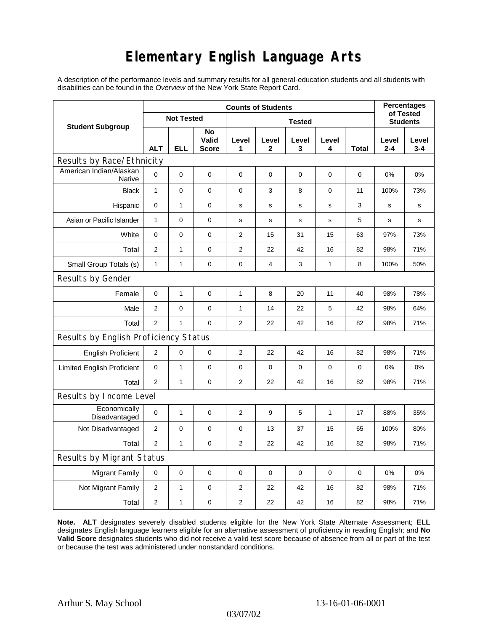## **Elementary English Language Arts**

A description of the performance levels and summary results for all general-education students and all students with disabilities can be found in the *Overview* of the New York State Report Card.

| <b>Student Subgroup</b>                  | <b>Counts of Students</b> |              |                             |                |                |                  |              |       | <b>Percentages</b>           |                  |
|------------------------------------------|---------------------------|--------------|-----------------------------|----------------|----------------|------------------|--------------|-------|------------------------------|------------------|
|                                          | <b>Not Tested</b>         |              |                             | <b>Tested</b>  |                |                  |              |       | of Tested<br><b>Students</b> |                  |
|                                          | <b>ALT</b>                | <b>ELL</b>   | No<br>Valid<br><b>Score</b> | Level<br>1     | Level<br>2     | Level<br>3       | Level<br>4   | Total | Level<br>$2 - 4$             | Level<br>$3 - 4$ |
| Results by Race/Ethnicity                |                           |              |                             |                |                |                  |              |       |                              |                  |
| American Indian/Alaskan<br><b>Native</b> | $\mathbf 0$               | 0            | $\pmb{0}$                   | $\pmb{0}$      | 0              | 0                | 0            | 0     | 0%                           | 0%               |
| <b>Black</b>                             | $\mathbf{1}$              | 0            | 0                           | 0              | 3              | 8                | 0            | 11    | 100%                         | 73%              |
| Hispanic                                 | 0                         | $\mathbf{1}$ | $\pmb{0}$                   | s              | $\mathsf{s}$   | $\mathbf S$      | s            | 3     | $\mathbf s$                  | s                |
| Asian or Pacific Islander                | 1                         | 0            | 0                           | s              | s              | s                | s            | 5     | s                            | s                |
| White                                    | $\mathbf 0$               | 0            | 0                           | 2              | 15             | 31               | 15           | 63    | 97%                          | 73%              |
| Total                                    | $\mathbf{2}$              | $\mathbf{1}$ | $\pmb{0}$                   | 2              | 22             | 42               | 16           | 82    | 98%                          | 71%              |
| Small Group Totals (s)                   | $\mathbf{1}$              | 1            | 0                           | 0              | $\overline{4}$ | 3                | 1            | 8     | 100%                         | 50%              |
| Results by Gender                        |                           |              |                             |                |                |                  |              |       |                              |                  |
| Female                                   | $\mathbf 0$               | $\mathbf{1}$ | $\pmb{0}$                   | 1              | 8              | 20               | 11           | 40    | 98%                          | 78%              |
| Male                                     | 2                         | 0            | $\mathbf 0$                 | 1              | 14             | 22               | 5            | 42    | 98%                          | 64%              |
| Total                                    | $\mathbf{2}$              | $\mathbf{1}$ | 0                           | 2              | 22             | 42               | 16           | 82    | 98%                          | 71%              |
| Results by English Proficiency Status    |                           |              |                             |                |                |                  |              |       |                              |                  |
| <b>English Proficient</b>                | $\overline{c}$            | 0            | $\pmb{0}$                   | 2              | 22             | 42               | 16           | 82    | 98%                          | 71%              |
| <b>Limited English Proficient</b>        | $\mathbf 0$               | $\mathbf{1}$ | $\pmb{0}$                   | $\pmb{0}$      | 0              | $\boldsymbol{0}$ | $\pmb{0}$    | 0     | 0%                           | 0%               |
| Total                                    | 2                         | $\mathbf{1}$ | 0                           | 2              | 22             | 42               | 16           | 82    | 98%                          | 71%              |
| Results by Income Level                  |                           |              |                             |                |                |                  |              |       |                              |                  |
| Economically<br>Disadvantaged            | $\mathbf 0$               | 1            | $\mathbf 0$                 | 2              | 9              | 5                | $\mathbf{1}$ | 17    | 88%                          | 35%              |
| Not Disadvantaged                        | 2                         | 0            | 0                           | 0              | 13             | 37               | 15           | 65    | 100%                         | 80%              |
| Total                                    | 2                         | $\mathbf{1}$ | $\pmb{0}$                   | 2              | 22             | 42               | 16           | 82    | 98%                          | 71%              |
| Results by Migrant Status                |                           |              |                             |                |                |                  |              |       |                              |                  |
| <b>Migrant Family</b>                    | 0                         | 0            | $\pmb{0}$                   | 0              | 0              | $\mathbf 0$      | 0            | 0     | 0%                           | 0%               |
| Not Migrant Family                       | $\overline{2}$            | $\mathbf{1}$ | $\pmb{0}$                   | $\overline{2}$ | 22             | 42               | 16           | 82    | 98%                          | 71%              |
| Total                                    | 2                         | $\mathbf{1}$ | $\pmb{0}$                   | $\overline{2}$ | 22             | 42               | 16           | 82    | 98%                          | 71%              |

**Note. ALT** designates severely disabled students eligible for the New York State Alternate Assessment; **ELL** designates English language learners eligible for an alternative assessment of proficiency in reading English; and **No Valid Score** designates students who did not receive a valid test score because of absence from all or part of the test or because the test was administered under nonstandard conditions.